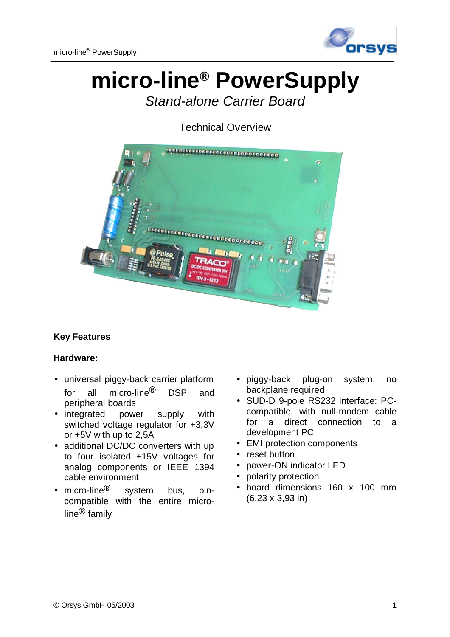

# **micro-line® PowerSupply**

*Stand-alone Carrier Board*

Technical Overview



## **Key Features**

## **Hardware:**

- universal piggy-back carrier platform for all micro-line<sup>®</sup> DSP and peripheral boards
- integrated power supply with switched voltage regulator for +3,3V or +5V with up to 2,5A
- additional DC/DC converters with up to four isolated ±15V voltages for analog components or IEEE 1394 cable environment
- micro-line ${}^{\circledR}$  system bus, pincompatible with the entire microline® family
- piggy-back plug-on system, no backplane required
- SUD-D 9-pole RS232 interface: PCcompatible, with null-modem cable for a direct connection to a development PC
- EMI protection components
- reset button
- power-ON indicator LED
- polarity protection
- board dimensions 160 x 100 mm (6,23 x 3,93 in)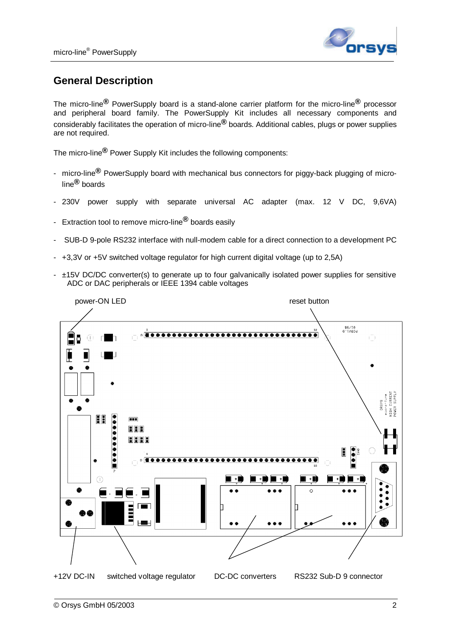

# **General Description**

The micro-line**®** PowerSupply board is a stand-alone carrier platform for the micro-line**®** processor and peripheral board family. The PowerSupply Kit includes all necessary components and considerably facilitates the operation of micro-line**®** boards. Additional cables, plugs or power supplies are not required.

The micro-line**®** Power Supply Kit includes the following components:

- micro-line**®** PowerSupply board with mechanical bus connectors for piggy-back plugging of microline**®** boards
- 230V power supply with separate universal AC adapter (max. 12 V DC, 9,6VA)
- Extraction tool to remove micro-line**®** boards easily
- SUB-D 9-pole RS232 interface with null-modem cable for a direct connection to a development PC
- +3,3V or +5V switched voltage regulator for high current digital voltage (up to 2,5A)
- ±15V DC/DC converter(s) to generate up to four galvanically isolated power supplies for sensitive ADC or DAC peripherals or IEEE 1394 cable voltages

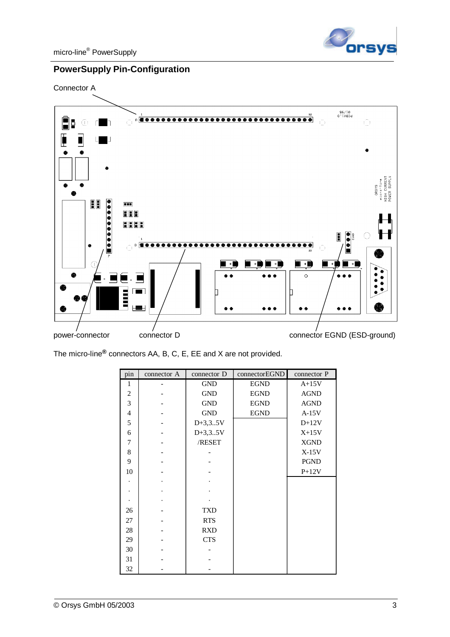

## **PowerSupply Pin-Configuration**

Connector A



The micro-line**®** connectors AA, B, C, E, EE and X are not provided.

| pin            | connector A | connector D | connectorEGND | connector P |
|----------------|-------------|-------------|---------------|-------------|
| 1              |             | <b>GND</b>  | <b>EGND</b>   | $A+15V$     |
| $\overline{c}$ |             | <b>GND</b>  | <b>EGND</b>   | <b>AGND</b> |
| 3              |             | <b>GND</b>  | <b>EGND</b>   | <b>AGND</b> |
| $\overline{4}$ |             | <b>GND</b>  | <b>EGND</b>   | $A-15V$     |
| 5              |             | $D+3,35V$   |               | $D+12V$     |
| 6              |             | $D+3,35V$   |               | $X+15V$     |
| 7              |             | /RESET      |               | <b>XGND</b> |
| 8              |             |             |               | $X-15V$     |
| 9              |             |             |               | <b>PGND</b> |
| 10             |             |             |               | $P+12V$     |
|                |             |             |               |             |
|                |             |             |               |             |
|                |             |             |               |             |
| 26             |             | <b>TXD</b>  |               |             |
| 27             |             | <b>RTS</b>  |               |             |
| 28             |             | <b>RXD</b>  |               |             |
| 29             |             | <b>CTS</b>  |               |             |
| 30             |             |             |               |             |
| 31             |             |             |               |             |
| 32             |             |             |               |             |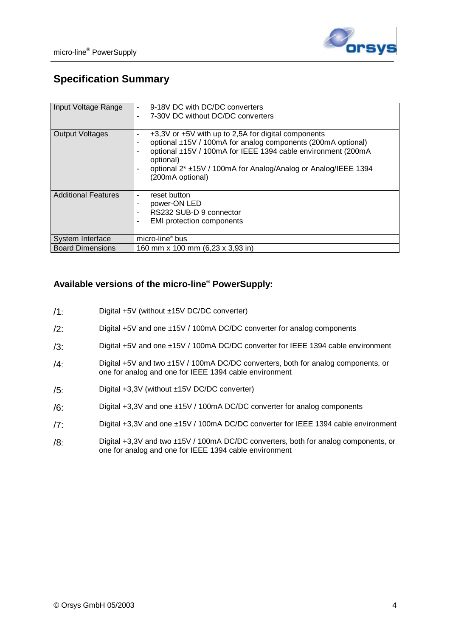

# **Specification Summary**

| Input Voltage Range        | 9-18V DC with DC/DC converters<br>7-30V DC without DC/DC converters                                                                                                                                                                                                                              |  |
|----------------------------|--------------------------------------------------------------------------------------------------------------------------------------------------------------------------------------------------------------------------------------------------------------------------------------------------|--|
| <b>Output Voltages</b>     | +3,3V or +5V with up to 2,5A for digital components<br>optional ±15V / 100mA for analog components (200mA optional)<br>٠<br>optional ±15V / 100mA for IEEE 1394 cable environment (200mA<br>optional)<br>optional 2* ±15V / 100mA for Analog/Analog or Analog/IEEE 1394<br>٠<br>(200mA optional) |  |
| <b>Additional Features</b> | reset button<br>٠<br>power-ON LED<br>RS232 SUB-D 9 connector<br><b>EMI</b> protection components<br>٠                                                                                                                                                                                            |  |
| System Interface           | micro-line <sup>®</sup> bus                                                                                                                                                                                                                                                                      |  |
| <b>Board Dimensions</b>    | 160 mm x 100 mm (6,23 x 3,93 in)                                                                                                                                                                                                                                                                 |  |

#### **Available versions of the micro-line® PowerSupply:**

- /1: Digital +5V (without ±15V DC/DC converter)
- /2: Digital +5V and one ±15V / 100mA DC/DC converter for analog components
- /3: Digital +5V and one ±15V / 100mA DC/DC converter for IEEE 1394 cable environment
- /4: Digital +5V and two ±15V / 100mA DC/DC converters, both for analog components, or one for analog and one for IEEE 1394 cable environment
- /5: Digital +3,3V (without ±15V DC/DC converter)
- /6: Digital +3,3V and one ±15V / 100mA DC/DC converter for analog components
- /7: Digital +3,3V and one ±15V / 100mA DC/DC converter for IEEE 1394 cable environment
- /8: Digital +3,3V and two ±15V / 100mA DC/DC converters, both for analog components, or one for analog and one for IEEE 1394 cable environment